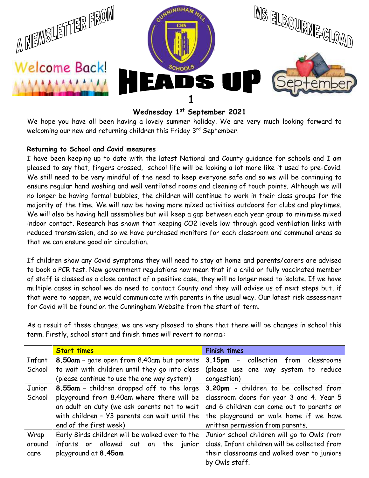

# **Wednesday 1st September 2021**

We hope you have all been having a lovely summer holiday. We are very much looking forward to welcoming our new and returning children this Friday 3<sup>rd</sup> September.

## **Returning to School and Covid measures**

I have been keeping up to date with the latest National and County guidance for schools and I am pleased to say that, fingers crossed, school life will be looking a lot more like it used to pre-Covid. We still need to be very mindful of the need to keep everyone safe and so we will be continuing to ensure regular hand washing and well ventilated rooms and cleaning of touch points. Although we will no longer be having formal bubbles, the children will continue to work in their class groups for the majority of the time. We will now be having more mixed activities outdoors for clubs and playtimes. We will also be having hall assemblies but will keep a gap between each year group to minimise mixed indoor contact. Research has shown that keeping CO2 levels low through good ventilation links with reduced transmission, and so we have purchased monitors for each classroom and communal areas so that we can ensure good air circulation.

If children show any Covid symptoms they will need to stay at home and parents/carers are advised to book a PCR test. New government regulations now mean that if a child or fully vaccinated member of staff is classed as a close contact of a positive case, they will no longer need to isolate. If we have multiple cases in school we do need to contact County and they will advise us of next steps but, if that were to happen, we would communicate with parents in the usual way. Our latest risk assessment for Covid will be found on the Cunningham Website from the start of term.

As a result of these changes, we are very pleased to share that there will be changes in school this term. Firstly, school start and finish times will revert to normal:

|        | <b>Start times</b>                                                                           | <b>Finish times</b>                           |  |
|--------|----------------------------------------------------------------------------------------------|-----------------------------------------------|--|
| Infant | 8.50am - gate open from 8.40am but parents                                                   | 3.15pm - collection from classrooms           |  |
| School | to wait with children until they go into class                                               | (please use one way system to reduce          |  |
|        | (please continue to use the one way system)                                                  | congestion)                                   |  |
| Junior | 8.55am - children dropped off to the large                                                   | 3.20pm - children to be collected from        |  |
| School | playground from 8.40am where there will be                                                   | classroom doors for year 3 and 4. Year 5      |  |
|        | an adult on duty (we ask parents not to wait                                                 | and 6 children can come out to parents on     |  |
|        | with children - Y3 parents can wait until the $\vert$ the playground or walk home if we have |                                               |  |
|        | end of the first week)                                                                       | written permission from parents.              |  |
| Wrap   | Early Birds children will be walked over to the                                              | Junior school children will go to Owls from   |  |
| around | infants or allowed out on<br>the junior                                                      | class. Infant children will be collected from |  |
| care   | playground at 8.45am                                                                         | their classrooms and walked over to juniors   |  |
|        |                                                                                              | by Owls staff.                                |  |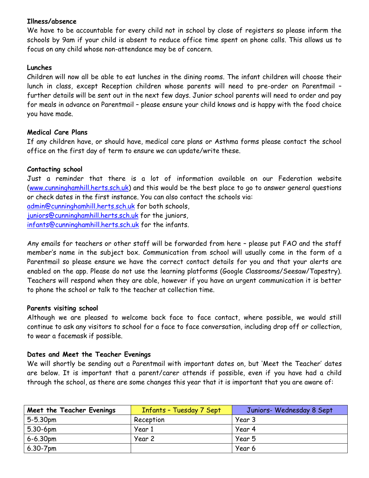## **Illness/absence**

We have to be accountable for every child not in school by close of registers so please inform the schools by 9am if your child is absent to reduce office time spent on phone calls. This allows us to focus on any child whose non-attendance may be of concern.

#### **Lunches**

Children will now all be able to eat lunches in the dining rooms. The infant children will choose their lunch in class, except Reception children whose parents will need to pre-order on Parentmail – further details will be sent out in the next few days. Junior school parents will need to order and pay for meals in advance on Parentmail – please ensure your child knows and is happy with the food choice you have made.

#### **Medical Care Plans**

If any children have, or should have, medical care plans or Asthma forms please contact the school office on the first day of term to ensure we can update/write these.

## **Contacting school**

Just a reminder that there is a lot of information available on our Federation website [\(www.cunninghamhill.herts.sch.uk\)](http://www.cunninghamhill.herts.sch.uk/) and this would be the best place to go to answer general questions or check dates in the first instance. You can also contact the schools via: [admin@cunninghamhill.herts.sch.uk](mailto:admin@cunninghamhill.herts.sch.uk) for both schools,

[juniors@cunninghamhill.herts.sch.uk](mailto:juniors@cunninghamhill.herts.sch.uk) for the juniors,

[infants@cunninghamhill.herts.sch.uk](mailto:infants@cunninghamhill.herts.sch.uk) for the infants.

Any emails for teachers or other staff will be forwarded from here – please put FAO and the staff member's name in the subject box. Communication from school will usually come in the form of a Parentmail so please ensure we have the correct contact details for you and that your alerts are enabled on the app. Please do not use the learning platforms (Google Classrooms/Seesaw/Tapestry). Teachers will respond when they are able, however if you have an urgent communication it is better to phone the school or talk to the teacher at collection time.

#### **Parents visiting school**

Although we are pleased to welcome back face to face contact, where possible, we would still continue to ask any visitors to school for a face to face conversation, including drop off or collection, to wear a facemask if possible.

#### **Dates and Meet the Teacher Evenings**

We will shortly be sending out a Parentmail with important dates on, but 'Meet the Teacher' dates are below. It is important that a parent/carer attends if possible, even if you have had a child through the school, as there are some changes this year that it is important that you are aware of:

| Meet the Teacher Evenings | Infants - Tuesday 7 Sept | Juniors- Wednesday 8 Sept |
|---------------------------|--------------------------|---------------------------|
| $5 - 5.30$ pm             | Reception                | Year 3                    |
| $5.30 - 6pm$              | Year 1                   | Year 4                    |
| $6 - 6.30$ pm             | Year 2                   | Year 5                    |
| $6.30 - 7$ pm             |                          | Year 6                    |